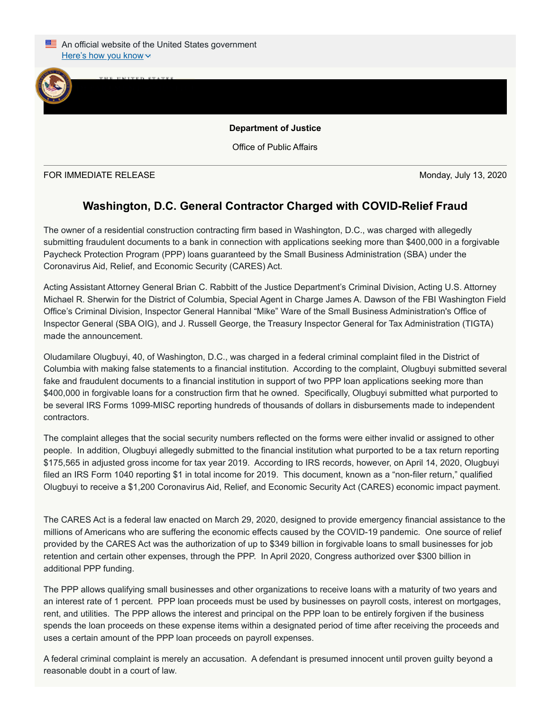

Office of Public Affairs

FOR IMMEDIATE RELEASE Monday, July 13, 2020

 $J_{\text{U}}$ 

## **Washington, D.C. General Contractor Charged with COVID-Relief Fraud**

The owner of a residential construction contracting firm based in Washington, D.C., was charged with allegedly submitting fraudulent documents to a bank in connection with applications seeking more than \$400,000 in a forgivable Paycheck Protection Program (PPP) loans guaranteed by the Small Business Administration (SBA) under the Coronavirus Aid, Relief, and Economic Security (CARES) Act.

Acting Assistant Attorney General Brian C. Rabbitt of the Justice Department's Criminal Division, Acting U.S. Attorney Michael R. Sherwin for the District of Columbia, Special Agent in Charge James A. Dawson of the FBI Washington Field Office's Criminal Division, Inspector General Hannibal "Mike" Ware of the Small Business Administration's Office of Inspector General (SBA OIG), and J. Russell George, the Treasury Inspector General for Tax Administration (TIGTA) made the announcement.

Oludamilare Olugbuyi, 40, of Washington, D.C., was charged in a federal criminal complaint filed in the District of Columbia with making false statements to a financial institution. According to the complaint, Olugbuyi submitted several fake and fraudulent documents to a financial institution in support of two PPP loan applications seeking more than \$400,000 in forgivable loans for a construction firm that he owned. Specifically, Olugbuyi submitted what purported to be several IRS Forms 1099-MISC reporting hundreds of thousands of dollars in disbursements made to independent contractors.

The complaint alleges that the social security numbers reflected on the forms were either invalid or assigned to other people. In addition, Olugbuyi allegedly submitted to the financial institution what purported to be a tax return reporting \$175,565 in adjusted gross income for tax year 2019. According to IRS records, however, on April 14, 2020, Olugbuyi filed an IRS Form 1040 reporting \$1 in total income for 2019. This document, known as a "non-filer return," qualified Olugbuyi to receive a \$1,200 Coronavirus Aid, Relief, and Economic Security Act (CARES) economic impact payment.

The CARES Act is a federal law enacted on March 29, 2020, designed to provide emergency financial assistance to the millions of Americans who are suffering the economic effects caused by the COVID-19 pandemic. One source of relief provided by the CARES Act was the authorization of up to \$349 billion in forgivable loans to small businesses for job retention and certain other expenses, through the PPP. In April 2020, Congress authorized over \$300 billion in additional PPP funding.

The PPP allows qualifying small businesses and other organizations to receive loans with a maturity of two years and an interest rate of 1 percent. PPP loan proceeds must be used by businesses on payroll costs, interest on mortgages, rent, and utilities. The PPP allows the interest and principal on the PPP loan to be entirely forgiven if the business spends the loan proceeds on these expense items within a designated period of time after receiving the proceeds and uses a certain amount of the PPP loan proceeds on payroll expenses.

A federal criminal complaint is merely an accusation. A defendant is presumed innocent until proven guilty beyond a reasonable doubt in a court of law.